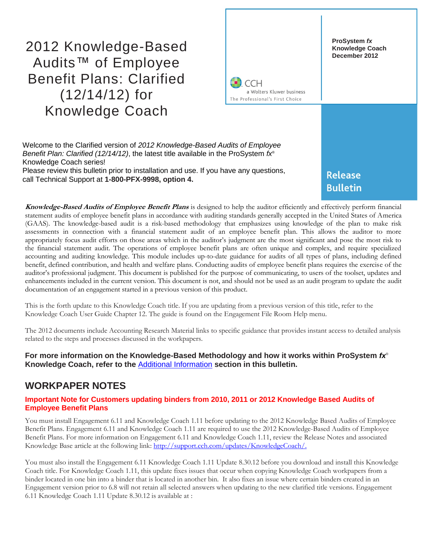# 2012 Knowledge-Based Audits™ of Employee Benefit Plans: Clarified (12/14/12) for Knowledge Coach



Welcome to the Clarified version of *2012 Knowledge-Based Audits of Employee Benefit Plan: Clarified (12/14/12)*, the latest title available in the ProSystem *fx*® Knowledge Coach series! Please review this bulletin prior to installation and use. If you have any questions, call Technical Support at **1-800-PFX-9998, option 4.**

**Release Bulletin** 

**Knowledge-Based Audits of Employee Benefit Plans** is designed to help the auditor efficiently and effectively perform financial statement audits of employee benefit plans in accordance with auditing standards generally accepted in the United States of America (GAAS). The knowledge-based audit is a risk-based methodology that emphasizes using knowledge of the plan to make risk assessments in connection with a financial statement audit of an employee benefit plan. This allows the auditor to more appropriately focus audit efforts on those areas which in the auditor's judgment are the most significant and pose the most risk to the financial statement audit. The operations of employee benefit plans are often unique and complex, and require specialized accounting and auditing knowledge. This module includes up-to-date guidance for audits of all types of plans, including defined benefit, defined contribution, and health and welfare plans. Conducting audits of employee benefit plans requires the exercise of the auditor's professional judgment. This document is published for the purpose of communicating, to users of the toolset, updates and enhancements included in the current version. This document is not, and should not be used as an audit program to update the audit documentation of an engagement started in a previous version of this product.

This is the forth update to this Knowledge Coach title. If you are updating from a previous version of this title, refer to the Knowledge Coach User Guide Chapter 12. The guide is found on the Engagement File Room Help menu.

The 2012 documents include Accounting Research Material links to specific guidance that provides instant access to detailed analysis related to the steps and processes discussed in the workpapers.

### **For more information on the Knowledge-Based Methodology and how it works within ProSystem** *fx*® **Knowledge Coach, refer to the** [Additional Information](#page-2-0) **section in this bulletin.**

# **WORKPAPER NOTES**

### **Important Note for Customers updating binders from 2010, 2011 or 2012 Knowledge Based Audits of Employee Benefit Plans**

You must install Engagement 6.11 and Knowledge Coach 1.11 before updating to the 2012 Knowledge Based Audits of Employee Benefit Plans. Engagement 6.11 and Knowledge Coach 1.11 are required to use the 2012 Knowledge-Based Audits of Employee Benefit Plans. For more information on Engagement 6.11 and Knowledge Coach 1.11, review the Release Notes and associated Knowledge Base article at the following link: [http://support.cch.com/updates/KnowledgeCoach/.](http://support.cch.com/updates/KnowledgeCoach/) 

You must also install the Engagement 6.11 Knowledge Coach 1.11 Update 8.30.12 before you download and install this Knowledge Coach title. For Knowledge Coach 1.11, this update fixes issues that occur when copying Knowledge Coach workpapers from a binder located in one bin into a binder that is located in another bin. It also fixes an issue where certain binders created in an Engagement version prior to 6.8 will not retain all selected answers when updating to the new clarified title versions. Engagement 6.11 Knowledge Coach 1.11 Update 8.30.12 is available at :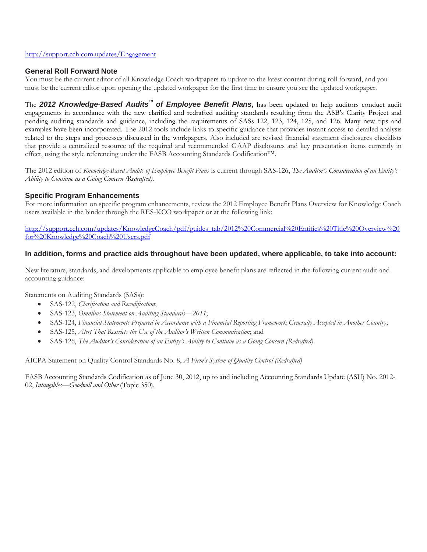#### <http://support.cch.com.updates/Engagement>

### **General Roll Forward Note**

You must be the current editor of all Knowledge Coach workpapers to update to the latest content during roll forward, and you must be the current editor upon opening the updated workpaper for the first time to ensure you see the updated workpaper.

The *2012 Knowledge-Based Audits***™** *of Employee Benefit Plans***,** has been updated to help auditors conduct audit engagements in accordance with the new clarified and redrafted auditing standards resulting from the ASB's Clarity Project and pending auditing standards and guidance, including the requirements of SASs 122, 123, 124, 125, and 126. Many new tips and examples have been incorporated. The 2012 tools include links to specific guidance that provides instant access to detailed analysis related to the steps and processes discussed in the workpapers. Also included are revised financial statement disclosures checklists that provide a centralized resource of the required and recommended GAAP disclosures and key presentation items currently in effect, using the style referencing under the FASB Accounting Standards Codification™.

The 2012 edition of *Knowledge-Based Audits of Employee Benefit Plans* is current through SAS-126, *The Auditor's Consideration of an Entity's Ability to Continue as a Going Concern (Redrafted).*

### **Specific Program Enhancements**

For more information on specific program enhancements, review the 2012 Employee Benefit Plans Overview for Knowledge Coach users available in the binder through the RES-KCO workpaper or at the following link:

[http://support.cch.com/updates/KnowledgeCoach/pdf/guides\\_tab/2012%20Commercial%20Entities%20Title%20Overview%20](http://support.cch.com/updates/KnowledgeCoach/pdf/guides_tab/2012%20Commercial%20Entities%20Title%20Overview%20for%20Knowledge%20Coach%20Users.pdf) [for%20Knowledge%20Coach%20Users.pdf](http://support.cch.com/updates/KnowledgeCoach/pdf/guides_tab/2012%20Commercial%20Entities%20Title%20Overview%20for%20Knowledge%20Coach%20Users.pdf)

### **In addition, forms and practice aids throughout have been updated, where applicable, to take into account:**

New literature, standards, and developments applicable to employee benefit plans are reflected in the following current audit and accounting guidance:

Statements on Auditing Standards (SASs):

- SAS-122, *Clarification and Recodification*;
- SAS-123, *Omnibus Statement on Auditing Standards—2011*;
- SAS-124, *Financial Statements Prepared in Accordance with a Financial Reporting Framework Generally Accepted in Another Country*;
- SAS-125, *Alert That Restricts the Use of the Auditor's Written Communication*; and
- SAS-126, *The Auditor's Consideration of an Entity's Ability to Continue as a Going Concern (Redrafted)*.

AICPA Statement on Quality Control Standards No. 8, *A Firm's System of Quality Control (Redrafted)*

FASB Accounting Standards Codification as of June 30, 2012, up to and including Accounting Standards Update (ASU) No. 2012- 02, *Intangibles—Goodwill and Other* (Topic 350)*.*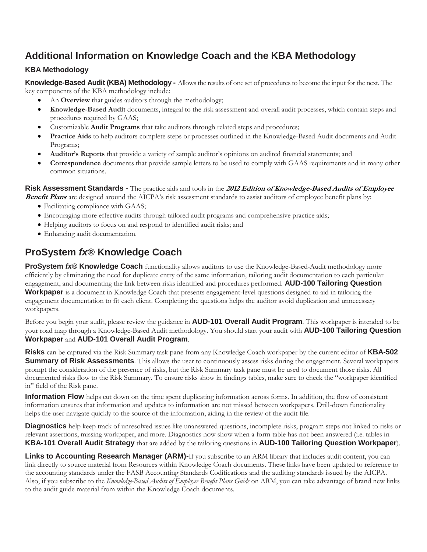# <span id="page-2-0"></span>**Additional Information on Knowledge Coach and the KBA Methodology**

# **KBA Methodology**

**Knowledge-Based Audit (KBA) Methodology -** Allows the results of one set of procedures to become the input for the next. The key components of the KBA methodology include:

- An **Overview** that guides auditors through the methodology;
- **Knowledge-Based Audit** documents, integral to the risk assessment and overall audit processes, which contain steps and procedures required by GAAS;
- Customizable **Audit Programs** that take auditors through related steps and procedures;
- **Practice Aids** to help auditors complete steps or processes outlined in the Knowledge-Based Audit documents and Audit Programs;
- **Auditor's Reports** that provide a variety of sample auditor's opinions on audited financial statements; and
- **Correspondence** documents that provide sample letters to be used to comply with GAAS requirements and in many other common situations.

**Risk Assessment Standards -** The practice aids and tools in the **2012 Edition of Knowledge-Based Audits of Employee Benefit Plans** are designed around the AICPA's risk assessment standards to assist auditors of employee benefit plans by:

- Facilitating compliance with GAAS;
- Encouraging more effective audits through tailored audit programs and comprehensive practice aids;
- Helping auditors to focus on and respond to identified audit risks; and
- Enhancing audit documentation.

# **ProSystem** *fx***® Knowledge Coach**

**ProSystem** *fx***® Knowledge Coach** functionality allows auditors to use the Knowledge-Based-Audit methodology more efficiently by eliminating the need for duplicate entry of the same information, tailoring audit documentation to each particular engagement, and documenting the link between risks identified and procedures performed. **AUD-100 Tailoring Question Workpaper** is a document in Knowledge Coach that presents engagement-level questions designed to aid in tailoring the engagement documentation to fit each client. Completing the questions helps the auditor avoid duplication and unnecessary workpapers.

Before you begin your audit, please review the guidance in **AUD-101 Overall Audit Program**. This workpaper is intended to be your road map through a Knowledge-Based Audit methodology. You should start your audit with **AUD-100 Tailoring Question Workpaper** and **AUD-101 Overall Audit Program**.

**Risks** can be captured via the Risk Summary task pane from any Knowledge Coach workpaper by the current editor of **KBA-502 Summary of Risk Assessments**. This allows the user to continuously assess risks during the engagement. Several workpapers prompt the consideration of the presence of risks, but the Risk Summary task pane must be used to document those risks. All documented risks flow to the Risk Summary. To ensure risks show in findings tables, make sure to check the "workpaper identified in" field of the Risk pane.

**Information Flow** helps cut down on the time spent duplicating information across forms. In addition, the flow of consistent information ensures that information and updates to information are not missed between workpapers. Drill-down functionality helps the user navigate quickly to the source of the information, aiding in the review of the audit file.

**Diagnostics** help keep track of unresolved issues like unanswered questions, incomplete risks, program steps not linked to risks or relevant assertions, missing workpaper, and more. Diagnostics now show when a form table has not been answered (i.e. tables in **KBA-101 Overall Audit Strategy** that are added by the tailoring questions in **AUD-100 Tailoring Question Workpaper**).

**Links to Accounting Research Manager (ARM)-**If you subscribe to an ARM library that includes audit content, you can link directly to source material from Resources within Knowledge Coach documents. These links have been updated to reference to the accounting standards under the FASB Accounting Standards Codifications and the auditing standards issued by the AICPA. Also, if you subscribe to the *Knowledge-Based Audits of Employee Benefit Plans Guide* on ARM, you can take advantage of brand new links to the audit guide material from within the Knowledge Coach documents.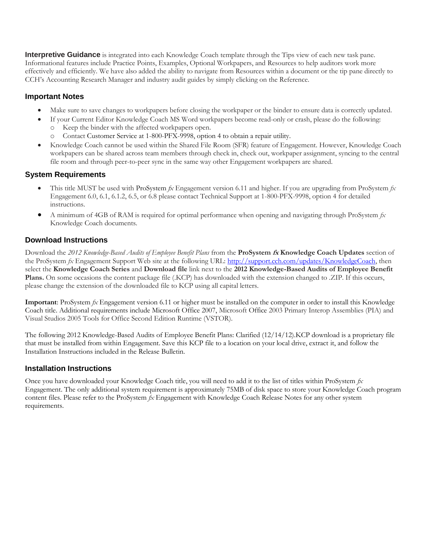**Interpretive Guidance** is integrated into each Knowledge Coach template through the Tips view of each new task pane. Informational features include Practice Points, Examples, Optional Workpapers, and Resources to help auditors work more effectively and efficiently. We have also added the ability to navigate from Resources within a document or the tip pane directly to CCH's Accounting Research Manager and industry audit guides by simply clicking on the Reference.

### **Important Notes**

- Make sure to save changes to workpapers before closing the workpaper or the binder to ensure data is correctly updated.
- If your Current Editor Knowledge Coach MS Word workpapers become read-only or crash, please do the following:
	- o Keep the binder with the affected workpapers open.
	- Contact Customer Service at 1-800-PFX-9998, option 4 to obtain a repair utility.
- Knowledge Coach cannot be used within the Shared File Room (SFR) feature of Engagement. However, Knowledge Coach workpapers can be shared across team members through check in, check out, workpaper assignment, syncing to the central file room and through peer-to-peer sync in the same way other Engagement workpapers are shared.

### **System Requirements**

- This title MUST be used with ProSystem *fx* Engagement version 6.11 and higher. If you are upgrading from ProSystem *fx*  Engagement 6.0, 6.1, 6.1.2, 6.5, or 6.8 please contact Technical Support at 1-800-PFX-9998, option 4 for detailed instructions.
- A minimum of 4GB of RAM is required for optimal performance when opening and navigating through ProSystem *fx*  Knowledge Coach documents.

### **Download Instructions**

Download the *2012 Knowledge-Based Audits of Employee Benefit Plans* from the **ProSystem fx Knowledge Coach Updates** section of the ProSystem *fx* Engagement Support Web site at the following URL: [http://support.cch.com/updates/KnowledgeCoach,](http://support.cch.com/updates/KnowledgeCoach) then select the **Knowledge Coach Series** and **Download file** link next to the **2012 Knowledge-Based Audits of Employee Benefit Plans.** On some occasions the content package file (.KCP) has downloaded with the extension changed to .ZIP. If this occurs, please change the extension of the downloaded file to KCP using all capital letters.

**Important**: ProSystem *fx* Engagement version 6.11 or higher must be installed on the computer in order to install this Knowledge Coach title. Additional requirements include Microsoft Office 2007, Microsoft Office 2003 Primary Interop Assemblies (PIA) and Visual Studios 2005 Tools for Office Second Edition Runtime (VSTOR).

The following 2012 Knowledge-Based Audits of Employee Benefit Plans: Clarified (12/14/12).KCP download is a proprietary file that must be installed from within Engagement. Save this KCP file to a location on your local drive, extract it, and follow the Installation Instructions included in the Release Bulletin.

### **Installation Instructions**

Once you have downloaded your Knowledge Coach title, you will need to add it to the list of titles within ProSystem *fx*  Engagement. The only additional system requirement is approximately 75MB of disk space to store your Knowledge Coach program content files. Please refer to the ProSystem *fx* Engagement with Knowledge Coach Release Notes for any other system requirements.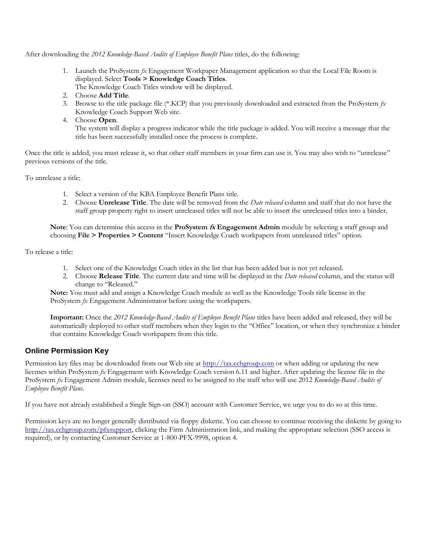After downloading the *2012 Knowledge-Based Audits of Employee Benefit Plans* titles, do the following:

- 1. Launch the ProSystem *fx* Engagement Workpaper Management application so that the Local File Room is displayed. Select **Tools > Knowledge Coach Titles**.
	- The Knowledge Coach Titles window will be displayed.
- 2. Choose **Add Title**.
- 3. Browse to the title package file (\*.KCP) that you previously downloaded and extracted from the ProSystem *fx*  Knowledge Coach Support Web site.
- 4. Choose **Open**.

The system will display a progress indicator while the title package is added. You will receive a message that the title has been successfully installed once the process is complete.

Once the title is added, you must release it, so that other staff members in your firm can use it. You may also wish to "unrelease" previous versions of the title.

To unrelease a title:

- 1. Select a version of the KBA Employee Benefit Plans title.
- 2. Choose **Unrelease Title**. The date will be removed from the *Date released* column and staff that do not have the staff group property right to insert unreleased titles will not be able to insert the unreleased titles into a binder.

**Note**: You can determine this access in the **ProSystem fx Engagement Admin** module by selecting a staff group and choosing **File > Properties > Content** "Insert Knowledge Coach workpapers from unreleased titles" option.

To release a title:

- 1. Select one of the Knowledge Coach titles in the list that has been added but is not yet released.
- 2. Choose **Release Title**. The current date and time will be displayed in the *Date released* column, and the status will change to "Released."

**Note:** You must add and assign a Knowledge Coach module as well as the Knowledge Tools title license in the ProSystem *fx* Engagement Administrator before using the workpapers.

**Important:** Once the *2012 Knowledge-Based Audits of Employee Benefit Plans* titles have been added and released, they will be automatically deployed to other staff members when they login to the "Office" location, or when they synchronize a binder that contains Knowledge Coach workpapers from this title.

### **Online Permission Key**

Permission key files may be downloaded from our Web site a[t http://tax.cchgroup.com](http://tax.cchgroup.com/) or when adding or updating the new licenses within ProSystem *fx* Engagement with Knowledge Coach version 6.11 and higher. After updating the license file in the ProSystem *fx* Engagement Admin module, licenses need to be assigned to the staff who will use 2012 *Knowledge-Based Audits of Employee Benefit Plans*.

If you have not already established a Single Sign-on (SSO) account with Customer Service, we urge you to do so at this time.

Permission keys are no longer generally distributed via floppy diskette. You can choose to continue receiving the diskette by going to [http://tax.cchgroup.com/pfxsupport,](http://tax.cchgroup.com/pfxsupport) clicking the Firm Administration link, and making the appropriate selection (SSO access is required), or by contacting Customer Service at 1-800-PFX-9998, option 4.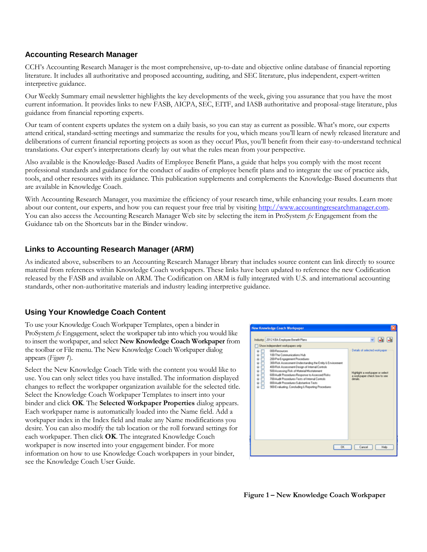### **Accounting Research Manager**

CCH's Accounting Research Manager is the most comprehensive, up-to-date and objective online database of financial reporting literature. It includes all authoritative and proposed accounting, auditing, and SEC literature, plus independent, expert-written interpretive guidance.

Our Weekly Summary email newsletter highlights the key developments of the week, giving you assurance that you have the most current information. It provides links to new FASB, AICPA, SEC, EITF, and IASB authoritative and proposal-stage literature, plus guidance from financial reporting experts.

Our team of content experts updates the system on a daily basis, so you can stay as current as possible. What's more, our experts attend critical, standard-setting meetings and summarize the results for you, which means you'll learn of newly released literature and deliberations of current financial reporting projects as soon as they occur! Plus, you'll benefit from their easy-to-understand technical translations. Our expert's interpretations clearly lay out what the rules mean from your perspective.

Also available is the Knowledge-Based Audits of Employee Benefit Plans, a guide that helps you comply with the most recent professional standards and guidance for the conduct of audits of employee benefit plans and to integrate the use of practice aids, tools, and other resources with its guidance. This publication supplements and complements the Knowledge-Based documents that are available in Knowledge Coach.

With Accounting Research Manager, you maximize the efficiency of your research time, while enhancing your results. Learn more about our content, our experts, and how you can request your free trial by visiting http://www.accountingresearchmanager.com. You can also access the Accounting Research Manager Web site by selecting the item in ProSystem *fx* Engagement from the Guidance tab on the Shortcuts bar in the Binder window.

### **Links to Accounting Research Manager (ARM)**

As indicated above, subscribers to an Accounting Research Manager library that includes source content can link directly to source material from references within Knowledge Coach workpapers. These links have been updated to reference the new Codification released by the FASB and available on ARM. The Codification on ARM is fully integrated with U.S. and international accounting standards, other non-authoritative materials and industry leading interpretive guidance.

# **Using Your Knowledge Coach Content**

To use your Knowledge Coach Workpaper Templates, open a binder in ProSystem *fx* Engagement, select the workpaper tab into which you would like to insert the workpaper, and select **New Knowledge Coach Workpaper** from the toolbar or File menu. The New Knowledge Coach Workpaper dialog appears (*Figure 1*).

Select the New Knowledge Coach Title with the content you would like to use. You can only select titles you have installed. The information displayed changes to reflect the workpaper organization available for the selected title. Select the Knowledge Coach Workpaper Templates to insert into your binder and click **OK**. The **Selected Workpaper Properties** dialog appears. Each workpaper name is automatically loaded into the Name field. Add a workpaper index in the Index field and make any Name modifications you desire. You can also modify the tab location or the roll forward settings for each workpaper. Then click **OK**. The integrated Knowledge Coach workpaper is now inserted into your engagement binder. For more information on how to use Knowledge Coach workpapers in your binder, see the Knowledge Coach User Guide.



**Figure 1 – New Knowledge Coach Workpaper**